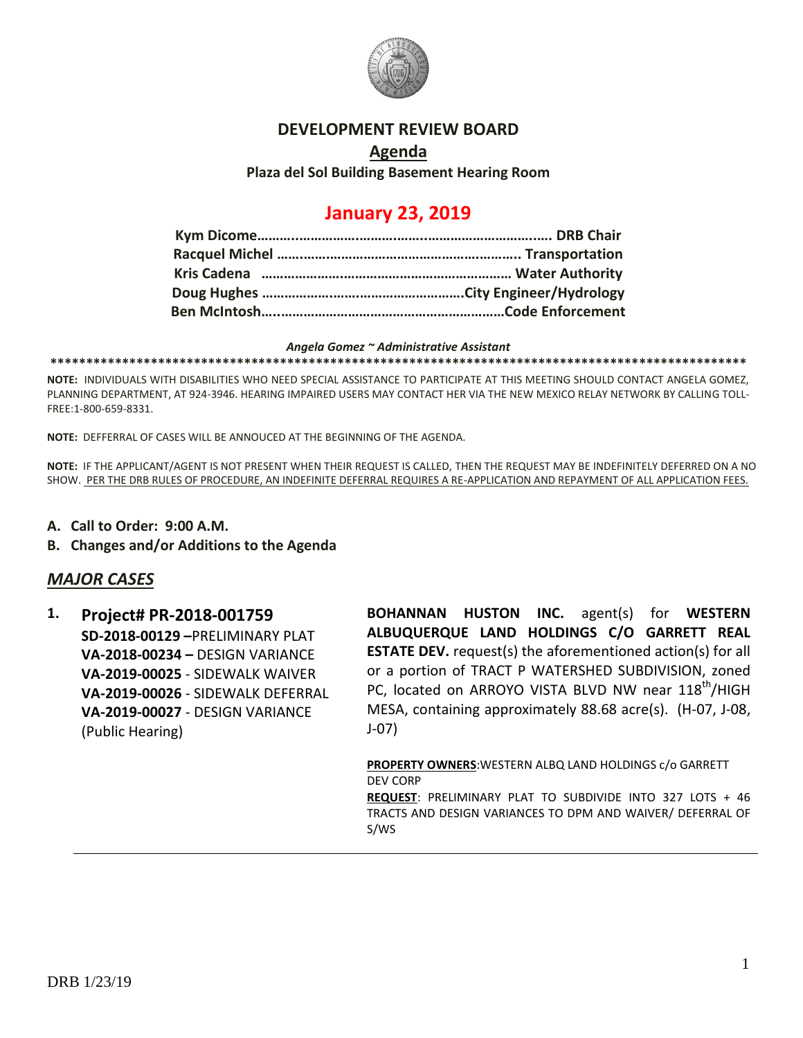

### **DEVELOPMENT REVIEW BOARD**

## **Agenda Plaza del Sol Building Basement Hearing Room**

# **January 23, 2019**

#### *Angela Gomez ~ Administrative Assistant*

**\*\*\*\*\*\*\*\*\*\*\*\*\*\*\*\*\*\*\*\*\*\*\*\*\*\*\*\*\*\*\*\*\*\*\*\*\*\*\*\*\*\*\*\*\*\*\*\*\*\*\*\*\*\*\*\*\*\*\*\*\*\*\*\*\*\*\*\*\*\*\*\*\*\*\*\*\*\*\*\*\*\*\*\*\*\*\*\*\*\*\*\*\*\*\*\*\***

**NOTE:** INDIVIDUALS WITH DISABILITIES WHO NEED SPECIAL ASSISTANCE TO PARTICIPATE AT THIS MEETING SHOULD CONTACT ANGELA GOMEZ, PLANNING DEPARTMENT, AT 924-3946. HEARING IMPAIRED USERS MAY CONTACT HER VIA THE NEW MEXICO RELAY NETWORK BY CALLING TOLL-FREE:1-800-659-8331.

**NOTE:** DEFFERRAL OF CASES WILL BE ANNOUCED AT THE BEGINNING OF THE AGENDA.

**NOTE:** IF THE APPLICANT/AGENT IS NOT PRESENT WHEN THEIR REQUEST IS CALLED, THEN THE REQUEST MAY BE INDEFINITELY DEFERRED ON A NO SHOW. PER THE DRB RULES OF PROCEDURE, AN INDEFINITE DEFERRAL REQUIRES A RE-APPLICATION AND REPAYMENT OF ALL APPLICATION FEES.

- **A. Call to Order: 9:00 A.M.**
- **B. Changes and/or Additions to the Agenda**

## *MAJOR CASES*

**1. Project# PR-2018-001759 SD-2018-00129 –**PRELIMINARY PLAT **VA-2018-00234 –** DESIGN VARIANCE **VA-2019-00025** - SIDEWALK WAIVER **VA-2019-00026** - SIDEWALK DEFERRAL **VA-2019-00027** - DESIGN VARIANCE (Public Hearing)

**BOHANNAN HUSTON INC.** agent(s) for **WESTERN ALBUQUERQUE LAND HOLDINGS C/O GARRETT REAL ESTATE DEV.** request(s) the aforementioned action(s) for all or a portion of TRACT P WATERSHED SUBDIVISION, zoned PC, located on ARROYO VISTA BLVD NW near 118<sup>th</sup>/HIGH MESA, containing approximately 88.68 acre(s). (H-07, J-08, J-07)

**PROPERTY OWNERS**:WESTERN ALBQ LAND HOLDINGS c/o GARRETT DEV CORP

**REQUEST**: PRELIMINARY PLAT TO SUBDIVIDE INTO 327 LOTS + 46 TRACTS AND DESIGN VARIANCES TO DPM AND WAIVER/ DEFERRAL OF S/WS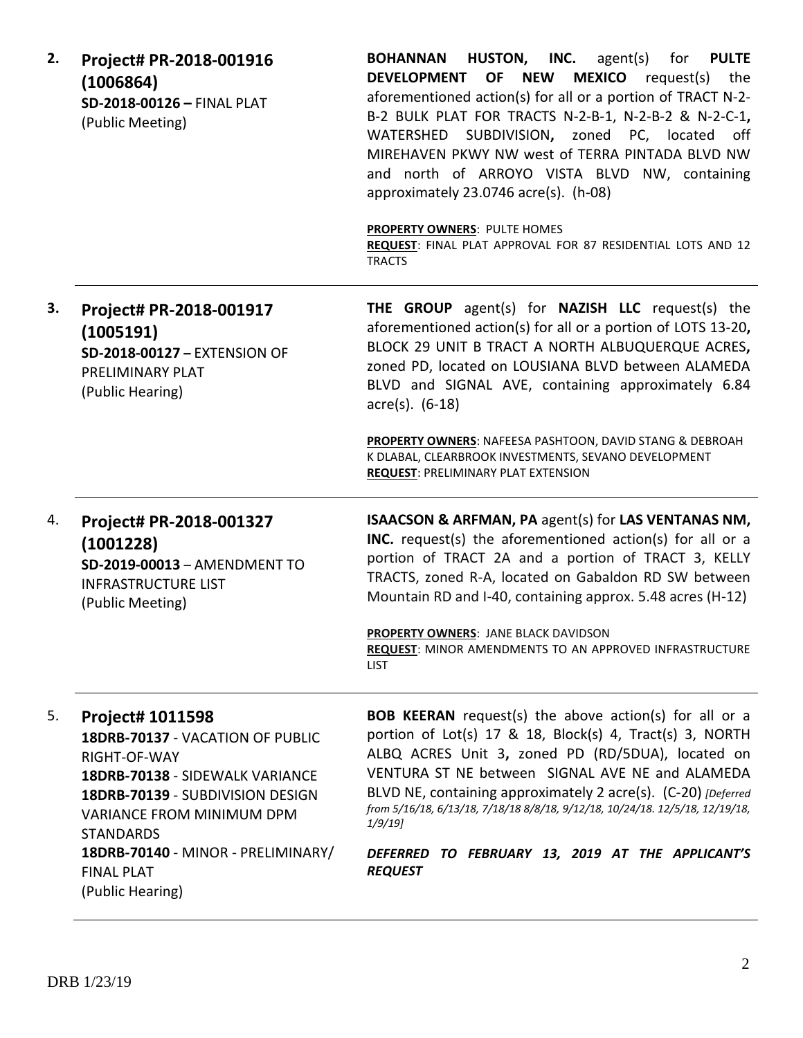| 2. | Project# PR-2018-001916<br>(1006864)<br>SD-2018-00126 - FINAL PLAT<br>(Public Meeting)                                                                                                                                             | <b>BOHANNAN HUSTON, INC.</b> agent(s) for PULTE<br><b>MEXICO</b> request(s)<br>OF<br><b>NEW</b><br><b>DEVELOPMENT</b><br>the<br>aforementioned action(s) for all or a portion of TRACT N-2-<br>B-2 BULK PLAT FOR TRACTS N-2-B-1, N-2-B-2 & N-2-C-1,<br>WATERSHED SUBDIVISION, zoned PC, located<br>off<br>MIREHAVEN PKWY NW west of TERRA PINTADA BLVD NW<br>and north of ARROYO VISTA BLVD NW, containing<br>approximately 23.0746 acre(s). (h-08)<br>PROPERTY OWNERS: PULTE HOMES<br>REQUEST: FINAL PLAT APPROVAL FOR 87 RESIDENTIAL LOTS AND 12<br><b>TRACTS</b> |
|----|------------------------------------------------------------------------------------------------------------------------------------------------------------------------------------------------------------------------------------|---------------------------------------------------------------------------------------------------------------------------------------------------------------------------------------------------------------------------------------------------------------------------------------------------------------------------------------------------------------------------------------------------------------------------------------------------------------------------------------------------------------------------------------------------------------------|
| З. | Project# PR-2018-001917<br>(1005191)<br>SD-2018-00127 - EXTENSION OF<br>PRELIMINARY PLAT<br>(Public Hearing)                                                                                                                       | THE GROUP agent(s) for NAZISH LLC request(s) the<br>aforementioned action(s) for all or a portion of LOTS 13-20,<br>BLOCK 29 UNIT B TRACT A NORTH ALBUQUERQUE ACRES,<br>zoned PD, located on LOUSIANA BLVD between ALAMEDA<br>BLVD and SIGNAL AVE, containing approximately 6.84<br>$\arccos 0. (6-18)$                                                                                                                                                                                                                                                             |
|    |                                                                                                                                                                                                                                    | PROPERTY OWNERS: NAFEESA PASHTOON, DAVID STANG & DEBROAH<br>K DLABAL, CLEARBROOK INVESTMENTS, SEVANO DEVELOPMENT<br><b>REQUEST: PRELIMINARY PLAT EXTENSION</b>                                                                                                                                                                                                                                                                                                                                                                                                      |
| 4. | Project# PR-2018-001327<br>(1001228)<br>SD-2019-00013 - AMENDMENT TO<br><b>INFRASTRUCTURE LIST</b><br>(Public Meeting)                                                                                                             | <b>ISAACSON &amp; ARFMAN, PA agent(s) for LAS VENTANAS NM,</b><br>INC. request(s) the aforementioned action(s) for all or a<br>portion of TRACT 2A and a portion of TRACT 3, KELLY<br>TRACTS, zoned R-A, located on Gabaldon RD SW between<br>Mountain RD and I-40, containing approx. 5.48 acres (H-12)<br>PROPERTY OWNERS: JANE BLACK DAVIDSON                                                                                                                                                                                                                    |
|    |                                                                                                                                                                                                                                    | <b>REQUEST: MINOR AMENDMENTS TO AN APPROVED INFRASTRUCTURE</b><br><b>LIST</b>                                                                                                                                                                                                                                                                                                                                                                                                                                                                                       |
| 5. | Project# 1011598<br>18DRB-70137 - VACATION OF PUBLIC<br>RIGHT-OF-WAY<br>18DRB-70138 - SIDEWALK VARIANCE<br>18DRB-70139 - SUBDIVISION DESIGN<br>VARIANCE FROM MINIMUM DPM<br><b>STANDARDS</b><br>18DRB-70140 - MINOR - PRELIMINARY/ | <b>BOB KEERAN</b> request(s) the above action(s) for all or a<br>portion of Lot(s) 17 & 18, Block(s) 4, Tract(s) 3, NORTH<br>ALBQ ACRES Unit 3, zoned PD (RD/5DUA), located on<br>VENTURA ST NE between SIGNAL AVE NE and ALAMEDA<br>BLVD NE, containing approximately 2 acre(s). (C-20) [Deferred<br>from 5/16/18, 6/13/18, 7/18/18 8/8/18, 9/12/18, 10/24/18. 12/5/18, 12/19/18,<br>$1/9/19$ ]<br>DEFERRED TO FEBRUARY 13, 2019 AT THE APPLICANT'S                                                                                                                |
|    | <b>FINAL PLAT</b><br>(Public Hearing)                                                                                                                                                                                              | <b>REQUEST</b>                                                                                                                                                                                                                                                                                                                                                                                                                                                                                                                                                      |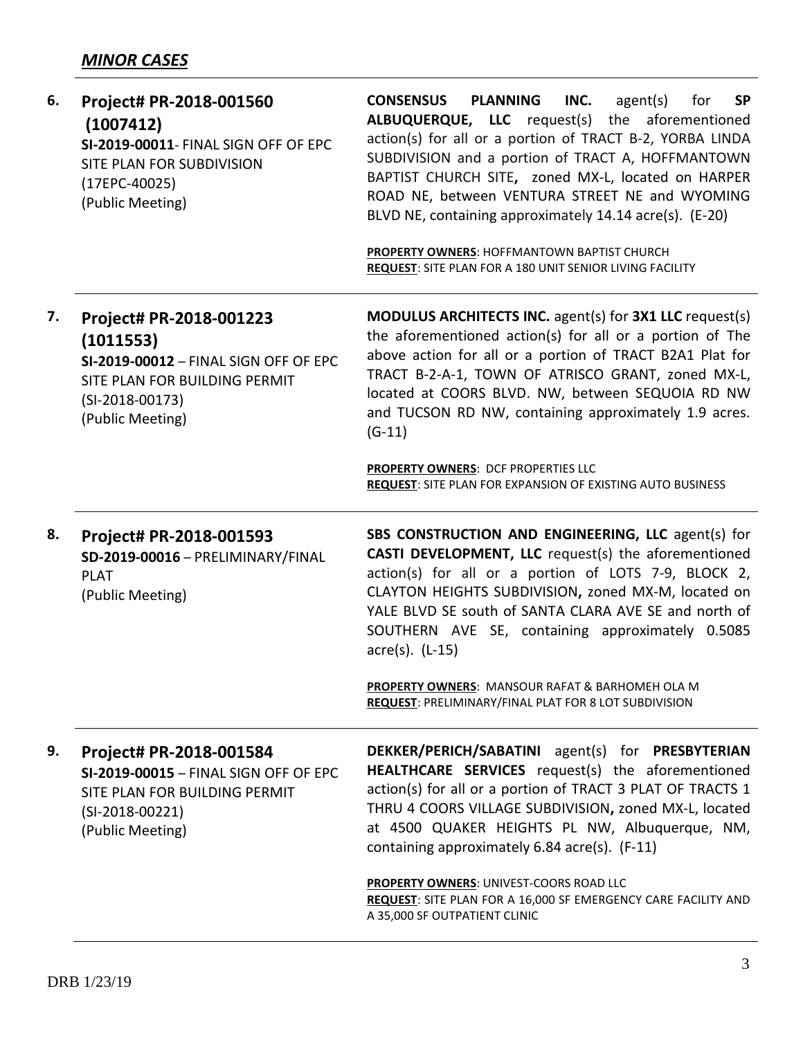| 6. | Project# PR-2018-001560<br>(1007412)<br>SI-2019-00011- FINAL SIGN OFF OF EPC<br>SITE PLAN FOR SUBDIVISION<br>$(17EPC-40025)$<br>(Public Meeting)        | <b>PLANNING</b><br><b>CONSENSUS</b><br>INC.<br>agent(s)<br><b>SP</b><br>for<br>ALBUQUERQUE, LLC request(s) the aforementioned<br>action(s) for all or a portion of TRACT B-2, YORBA LINDA<br>SUBDIVISION and a portion of TRACT A, HOFFMANTOWN<br>BAPTIST CHURCH SITE, zoned MX-L, located on HARPER<br>ROAD NE, between VENTURA STREET NE and WYOMING<br>BLVD NE, containing approximately 14.14 acre(s). (E-20)<br>PROPERTY OWNERS: HOFFMANTOWN BAPTIST CHURCH<br>REQUEST: SITE PLAN FOR A 180 UNIT SENIOR LIVING FACILITY |
|----|---------------------------------------------------------------------------------------------------------------------------------------------------------|------------------------------------------------------------------------------------------------------------------------------------------------------------------------------------------------------------------------------------------------------------------------------------------------------------------------------------------------------------------------------------------------------------------------------------------------------------------------------------------------------------------------------|
| 7. | Project# PR-2018-001223<br>(1011553)<br>SI-2019-00012 - FINAL SIGN OFF OF EPC<br>SITE PLAN FOR BUILDING PERMIT<br>$(SI-2018-00173)$<br>(Public Meeting) | <b>MODULUS ARCHITECTS INC.</b> agent(s) for <b>3X1 LLC</b> request(s)<br>the aforementioned action(s) for all or a portion of The<br>above action for all or a portion of TRACT B2A1 Plat for<br>TRACT B-2-A-1, TOWN OF ATRISCO GRANT, zoned MX-L,<br>located at COORS BLVD. NW, between SEQUOIA RD NW<br>and TUCSON RD NW, containing approximately 1.9 acres.<br>$(G-11)$                                                                                                                                                  |
|    |                                                                                                                                                         | PROPERTY OWNERS: DCF PROPERTIES LLC<br><b>REQUEST: SITE PLAN FOR EXPANSION OF EXISTING AUTO BUSINESS</b>                                                                                                                                                                                                                                                                                                                                                                                                                     |
| 8. | Project# PR-2018-001593<br>SD-2019-00016 - PRELIMINARY/FINAL<br><b>PLAT</b><br>(Public Meeting)                                                         | SBS CONSTRUCTION AND ENGINEERING, LLC agent(s) for<br>CASTI DEVELOPMENT, LLC request(s) the aforementioned<br>action(s) for all or a portion of LOTS 7-9, BLOCK 2,<br>CLAYTON HEIGHTS SUBDIVISION, zoned MX-M, located on<br>YALE BLVD SE south of SANTA CLARA AVE SE and north of<br>SOUTHERN AVE SE, containing approximately 0.5085<br>$\arccos 0$ . (L-15)                                                                                                                                                               |
|    |                                                                                                                                                         | PROPERTY OWNERS: MANSOUR RAFAT & BARHOMEH OLA M<br>REQUEST: PRELIMINARY/FINAL PLAT FOR 8 LOT SUBDIVISION                                                                                                                                                                                                                                                                                                                                                                                                                     |
| 9. | Project# PR-2018-001584<br>SI-2019-00015 - FINAL SIGN OFF OF EPC<br>SITE PLAN FOR BUILDING PERMIT<br>$(SI-2018-00221)$<br>(Public Meeting)              | DEKKER/PERICH/SABATINI agent(s) for PRESBYTERIAN<br>HEALTHCARE SERVICES request(s) the aforementioned<br>action(s) for all or a portion of TRACT 3 PLAT OF TRACTS 1<br>THRU 4 COORS VILLAGE SUBDIVISION, zoned MX-L, located<br>at 4500 QUAKER HEIGHTS PL NW, Albuquerque, NM,                                                                                                                                                                                                                                               |
|    |                                                                                                                                                         | containing approximately 6.84 acre(s). (F-11)                                                                                                                                                                                                                                                                                                                                                                                                                                                                                |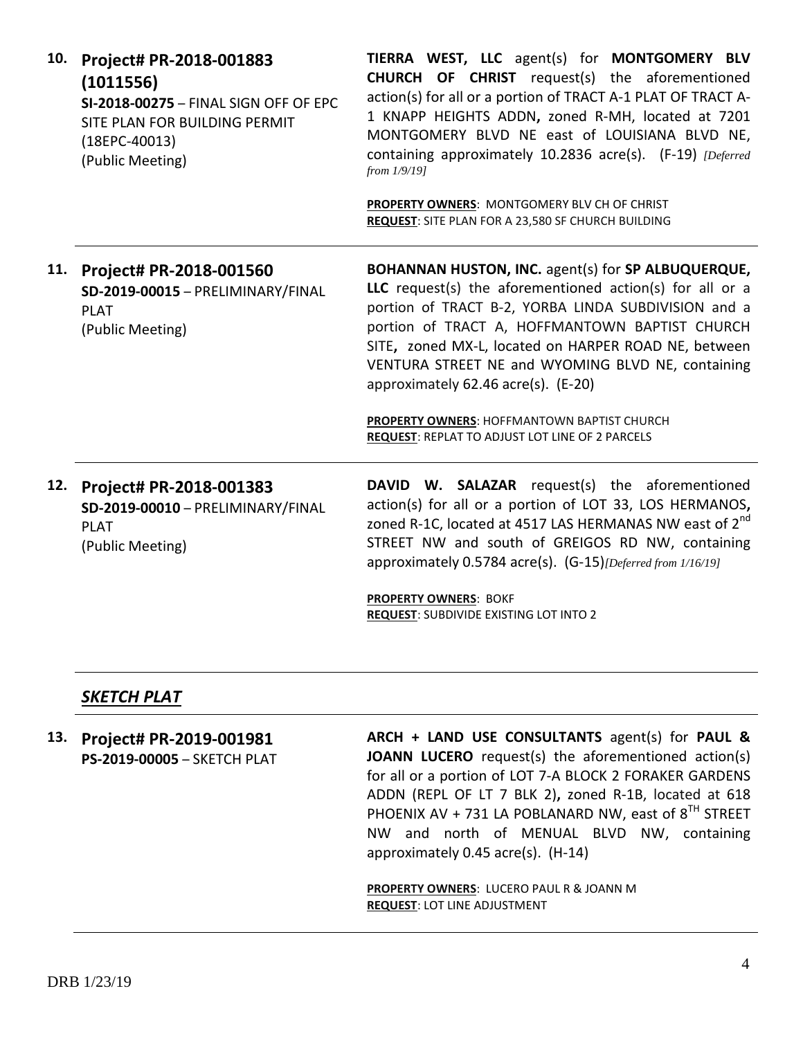| 10. | Project# PR-2018-001883<br>(1011556)<br>SI-2018-00275 - FINAL SIGN OFF OF EPC<br>SITE PLAN FOR BUILDING PERMIT<br>$(18EPC-40013)$<br>(Public Meeting) | TIERRA WEST, LLC agent(s) for MONTGOMERY BLV<br><b>CHURCH OF CHRIST</b> request(s) the aforementioned<br>action(s) for all or a portion of TRACT A-1 PLAT OF TRACT A-<br>1 KNAPP HEIGHTS ADDN, zoned R-MH, located at 7201<br>MONTGOMERY BLVD NE east of LOUISIANA BLVD NE,<br>containing approximately 10.2836 acre(s). (F-19) [Deferred<br>from $1/9/19$ ]<br>PROPERTY OWNERS: MONTGOMERY BLV CH OF CHRIST<br><b>REQUEST:</b> SITE PLAN FOR A 23,580 SF CHURCH BUILDING            |
|-----|-------------------------------------------------------------------------------------------------------------------------------------------------------|--------------------------------------------------------------------------------------------------------------------------------------------------------------------------------------------------------------------------------------------------------------------------------------------------------------------------------------------------------------------------------------------------------------------------------------------------------------------------------------|
| 11. | Project# PR-2018-001560<br>SD-2019-00015 - PRELIMINARY/FINAL<br><b>PLAT</b><br>(Public Meeting)                                                       | BOHANNAN HUSTON, INC. agent(s) for SP ALBUQUERQUE,<br>LLC request(s) the aforementioned action(s) for all or a<br>portion of TRACT B-2, YORBA LINDA SUBDIVISION and a<br>portion of TRACT A, HOFFMANTOWN BAPTIST CHURCH<br>SITE, zoned MX-L, located on HARPER ROAD NE, between<br>VENTURA STREET NE and WYOMING BLVD NE, containing<br>approximately 62.46 acre(s). (E-20)<br>PROPERTY OWNERS: HOFFMANTOWN BAPTIST CHURCH<br><b>REQUEST: REPLAT TO ADJUST LOT LINE OF 2 PARCELS</b> |
| 12. | Project# PR-2018-001383<br>SD-2019-00010 - PRELIMINARY/FINAL<br><b>PLAT</b><br>(Public Meeting)                                                       | DAVID W. SALAZAR request(s) the aforementioned<br>action(s) for all or a portion of LOT 33, LOS HERMANOS,<br>zoned R-1C, located at 4517 LAS HERMANAS NW east of 2 <sup>nd</sup><br>STREET NW and south of GREIGOS RD NW, containing<br>approximately 0.5784 acre(s). (G-15) [Deferred from 1/16/19]<br>PROPERTY OWNERS: BOKF                                                                                                                                                        |

## *SKETCH PLAT*

**13. Project# PR-2019-001981 PS-2019-00005** – SKETCH PLAT **ARCH + LAND USE CONSULTANTS** agent(s) for **PAUL & JOANN LUCERO** request(s) the aforementioned action(s) for all or a portion of LOT 7-A BLOCK 2 FORAKER GARDENS ADDN (REPL OF LT 7 BLK 2)**,** zoned R-1B, located at 618 PHOENIX AV + 731 LA POBLANARD NW, east of  $8^{TH}$  STREET NW and north of MENUAL BLVD NW, containing approximately 0.45 acre(s). (H-14)

**PROPERTY OWNERS**: LUCERO PAUL R & JOANN M **REQUEST**: LOT LINE ADJUSTMENT

**REQUEST**: SUBDIVIDE EXISTING LOT INTO 2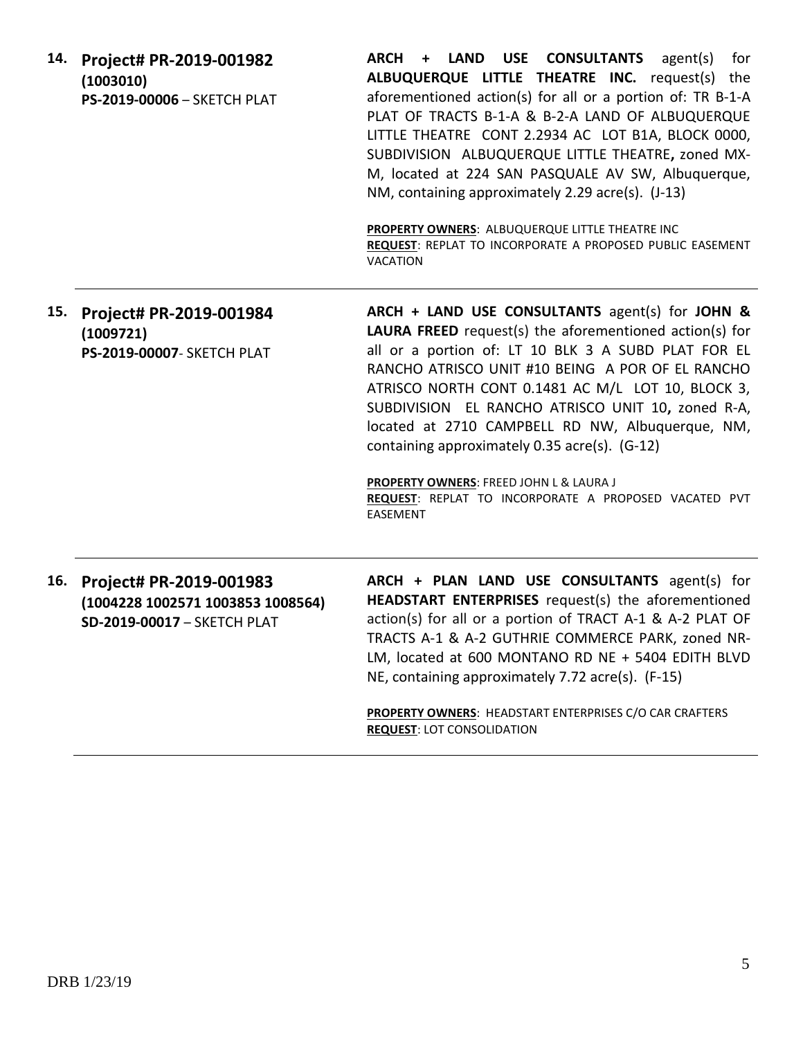| 14. | Project# PR-2019-001982<br>(1003010)<br>PS-2019-00006 - SKETCH PLAT                         | ARCH + LAND USE CONSULTANTS agent(s)<br>for<br>ALBUQUERQUE LITTLE THEATRE INC. request(s) the<br>aforementioned action(s) for all or a portion of: TR B-1-A<br>PLAT OF TRACTS B-1-A & B-2-A LAND OF ALBUQUERQUE<br>LITTLE THEATRE CONT 2.2934 AC LOT B1A, BLOCK 0000,<br>SUBDIVISION ALBUQUERQUE LITTLE THEATRE, zoned MX-<br>M, located at 224 SAN PASQUALE AV SW, Albuquerque,<br>NM, containing approximately 2.29 acre(s). (J-13)<br>PROPERTY OWNERS: ALBUQUERQUE LITTLE THEATRE INC<br>REQUEST: REPLAT TO INCORPORATE A PROPOSED PUBLIC EASEMENT<br>VACATION |
|-----|---------------------------------------------------------------------------------------------|-------------------------------------------------------------------------------------------------------------------------------------------------------------------------------------------------------------------------------------------------------------------------------------------------------------------------------------------------------------------------------------------------------------------------------------------------------------------------------------------------------------------------------------------------------------------|
| 15. | Project# PR-2019-001984<br>(1009721)<br>PS-2019-00007- SKETCH PLAT                          | ARCH + LAND USE CONSULTANTS agent(s) for JOHN &<br><b>LAURA FREED</b> request(s) the aforementioned action(s) for<br>all or a portion of: LT 10 BLK 3 A SUBD PLAT FOR EL<br>RANCHO ATRISCO UNIT #10 BEING A POR OF EL RANCHO<br>ATRISCO NORTH CONT 0.1481 AC M/L LOT 10, BLOCK 3,<br>SUBDIVISION EL RANCHO ATRISCO UNIT 10, zoned R-A,<br>located at 2710 CAMPBELL RD NW, Albuquerque, NM,<br>containing approximately 0.35 acre(s). (G-12)<br>PROPERTY OWNERS: FREED JOHN L & LAURA J<br>REQUEST: REPLAT TO INCORPORATE A PROPOSED VACATED PVT<br>EASEMENT       |
| 16. | Project# PR-2019-001983<br>(1004228 1002571 1003853 1008564)<br>SD-2019-00017 - SKETCH PLAT | ARCH + PLAN LAND USE CONSULTANTS agent(s) for<br>HEADSTART ENTERPRISES request(s) the aforementioned<br>action(s) for all or a portion of TRACT A-1 & A-2 PLAT OF<br>TRACTS A-1 & A-2 GUTHRIE COMMERCE PARK, zoned NR-<br>LM, located at 600 MONTANO RD NE + 5404 EDITH BLVD<br>NE, containing approximately 7.72 acre(s). (F-15)<br>PROPERTY OWNERS: HEADSTART ENTERPRISES C/O CAR CRAFTERS<br><b>REQUEST: LOT CONSOLIDATION</b>                                                                                                                                 |